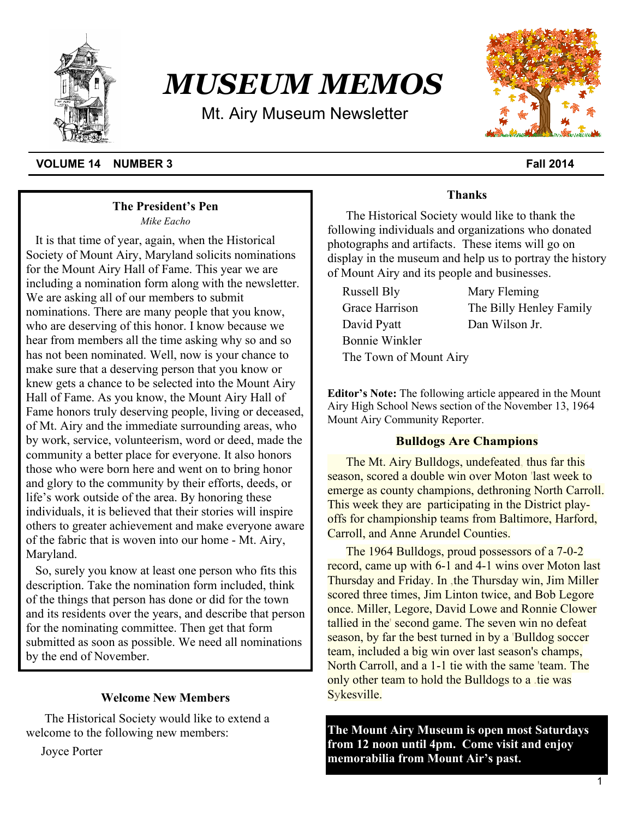

# *MUSEUM MEMOS*

Mt. Airy Museum Newsletter



## **VOLUME 14 NUMBER 3** Fall 2014

### **The President's Pen**

*Mike Eacho*

It is that time of year, again, when the Historical Society of Mount Airy, Maryland solicits nominations for the Mount Airy Hall of Fame. This year we are including a nomination form along with the newsletter. We are asking all of our members to submit nominations. There are many people that you know, who are deserving of this honor. I know because we hear from members all the time asking why so and so has not been nominated. Well, now is your chance to make sure that a deserving person that you know or knew gets a chance to be selected into the Mount Airy Hall of Fame. As you know, the Mount Airy Hall of Fame honors truly deserving people, living or deceased, of Mt. Airy and the immediate surrounding areas, who by work, service, volunteerism, word or deed, made the community a better place for everyone. It also honors those who were born here and went on to bring honor and glory to the community by their efforts, deeds, or life's work outside of the area. By honoring these individuals, it is believed that their stories will inspire others to greater achievement and make everyone aware of the fabric that is woven into our home - Mt. Airy, Maryland.

So, surely you know at least one person who fits this description. Take the nomination form included, think of the things that person has done or did for the town and its residents over the years, and describe that person for the nominating committee. Then get that form submitted as soon as possible. We need all nominations by the end of November.

## **Welcome New Members**

The Historical Society would like to extend a welcome to the following new members:

Joyce Porter

# **Thanks**

The Historical Society would like to thank the following individuals and organizations who donated photographs and artifacts. These items will go on display in the museum and help us to portray the history of Mount Airy and its people and businesses.

Russell Bly Mary Fleming Grace Harrison The Billy Henley Family David Pyatt Dan Wilson Jr. Bonnie Winkler The Town of Mount Airy

**Editor's Note:** The following article appeared in the Mount Airy High School News section of the November 13, 1964 Mount Airy Community Reporter.

### **Bulldogs Are Champions**

The Mt. Airy Bulldogs, undefeated, thus far this season, scored a double win over Moton 'last week to emerge as county champions, dethroning North Carroll. This week they are participating in the District playoffs for championship teams from Baltimore, Harford, Carroll, and Anne Arundel Counties.

The 1964 Bulldogs, proud possessors of a 7-0-2 record, came up with 6-1 and 4-1 wins over Moton last Thursday and Friday. In ,the Thursday win, Jim Miller scored three times, Jim Linton twice, and Bob Legore once. Miller, Legore, David Lowe and Ronnie Clower tallied in the' second game. The seven win no defeat season, by far the best turned in by a 'Bulldog soccer team, included a big win over last season's champs, North Carroll, and a 1-1 tie with the same 'team. The only other team to hold the Bulldogs to a .tie was Sykesville.

**The Mount Airy Museum is open most Saturdays from 12 noon until 4pm. Come visit and enjoy memorabilia from Mount Air's past.**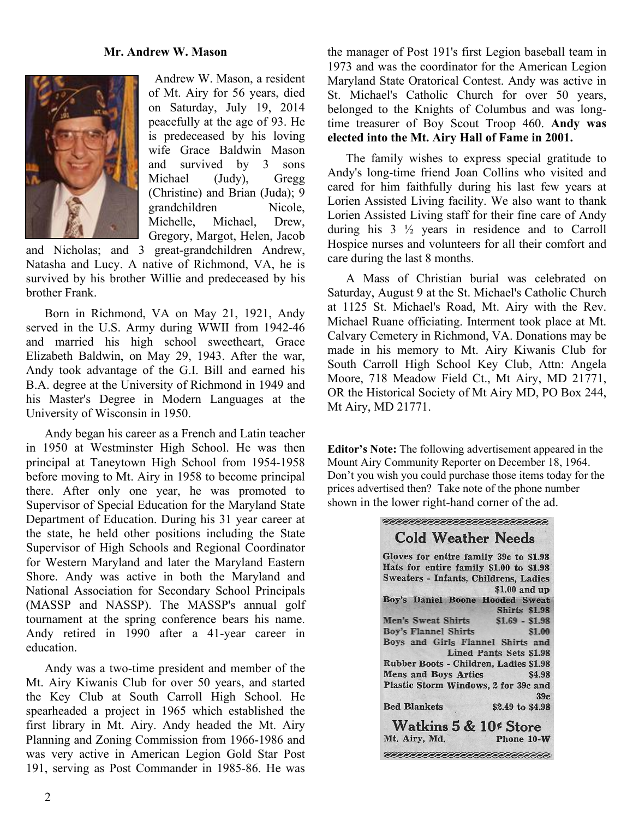#### **Mr. Andrew W. Mason**



 Andrew W. Mason, a resident of Mt. Airy for 56 years, died on Saturday, July 19, 2014 peacefully at the age of 93. He is predeceased by his loving wife Grace Baldwin Mason and survived by 3 sons Michael (Judy), Gregg (Christine) and Brian (Juda); 9 grandchildren Nicole, Michelle, Michael, Drew, Gregory, Margot, Helen, Jacob

and Nicholas; and 3 great-grandchildren Andrew, Natasha and Lucy. A native of Richmond, VA, he is survived by his brother Willie and predeceased by his brother Frank.

Born in Richmond, VA on May 21, 1921, Andy served in the U.S. Army during WWII from 1942-46 and married his high school sweetheart, Grace Elizabeth Baldwin, on May 29, 1943. After the war, Andy took advantage of the G.I. Bill and earned his B.A. degree at the University of Richmond in 1949 and his Master's Degree in Modern Languages at the University of Wisconsin in 1950.

Andy began his career as a French and Latin teacher in 1950 at Westminster High School. He was then principal at Taneytown High School from 1954-1958 before moving to Mt. Airy in 1958 to become principal there. After only one year, he was promoted to Supervisor of Special Education for the Maryland State Department of Education. During his 31 year career at the state, he held other positions including the State Supervisor of High Schools and Regional Coordinator for Western Maryland and later the Maryland Eastern Shore. Andy was active in both the Maryland and National Association for Secondary School Principals (MASSP and NASSP). The MASSP's annual golf tournament at the spring conference bears his name. Andy retired in 1990 after a 41-year career in education.

Andy was a two-time president and member of the Mt. Airy Kiwanis Club for over 50 years, and started the Key Club at South Carroll High School. He spearheaded a project in 1965 which established the first library in Mt. Airy. Andy headed the Mt. Airy Planning and Zoning Commission from 1966-1986 and was very active in American Legion Gold Star Post 191, serving as Post Commander in 1985-86. He was the manager of Post 191's first Legion baseball team in 1973 and was the coordinator for the American Legion Maryland State Oratorical Contest. Andy was active in St. Michael's Catholic Church for over 50 years, belonged to the Knights of Columbus and was longtime treasurer of Boy Scout Troop 460. **Andy was elected into the Mt. Airy Hall of Fame in 2001.**

The family wishes to express special gratitude to Andy's long-time friend Joan Collins who visited and cared for him faithfully during his last few years at Lorien Assisted Living facility. We also want to thank Lorien Assisted Living staff for their fine care of Andy during his 3 ½ years in residence and to Carroll Hospice nurses and volunteers for all their comfort and care during the last 8 months.

A Mass of Christian burial was celebrated on Saturday, August 9 at the St. Michael's Catholic Church at 1125 St. Michael's Road, Mt. Airy with the Rev. Michael Ruane officiating. Interment took place at Mt. Calvary Cemetery in Richmond, VA. Donations may be made in his memory to Mt. Airy Kiwanis Club for South Carroll High School Key Club, Attn: Angela Moore, 718 Meadow Field Ct., Mt Airy, MD 21771, OR the Historical Society of Mt Airy MD, PO Box 244, Mt Airy, MD 21771.

**Editor's Note:** The following advertisement appeared in the Mount Airy Community Reporter on December 18, 1964. Don't you wish you could purchase those items today for the prices advertised then? Take note of the phone number shown in the lower right-hand corner of the ad.

| <b>Cold Weather Needs</b>               |                         |
|-----------------------------------------|-------------------------|
| Gloves for entire family 39c to \$1.98  |                         |
| Hats for entire family \$1.00 to \$1.98 |                         |
| Sweaters - Infants, Childrens, Ladies   |                         |
|                                         | \$1.00 and up           |
| Boy's Daniel Boone Hooded Sweat         |                         |
|                                         | Shirts \$1.98           |
| Men's Sweat Shirts \$1.69 - \$1.98      |                         |
| Boy's Flannel Shirts \$1.00             |                         |
| Boys and Girls Flannel Shirts and       |                         |
|                                         | Lined Pants Sets \$1.98 |
| Rubber Boots - Children, Ladies \$1.98  |                         |
| <b>Mens and Boys Artics</b> \$4.98      |                         |
| Plastic Storm Windows, 2 for 39c and    |                         |
|                                         | 39c                     |
| <b>Bed Blankets</b>                     | \$2.49 to \$4.98        |
|                                         |                         |
| Watkins 5 & 10 <sup>¢</sup> Store       |                         |
| Mt. Airy, Md.                           | Phone 10-W              |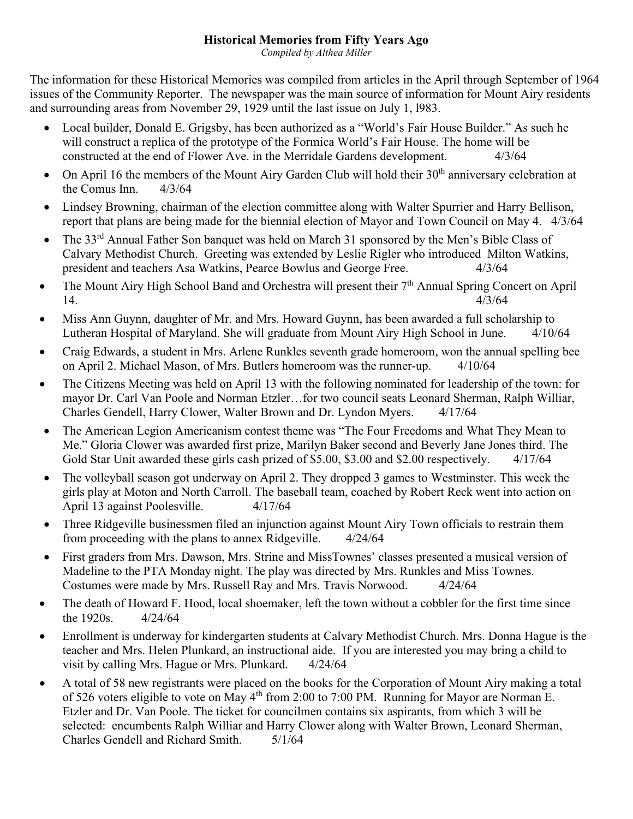## **Historical Memories from Fifty Years Ago**

*Compiled by Althea Miller*

The information for these Historical Memories was compiled from articles in the April through September of 1964 issues of the Community Reporter. The newspaper was the main source of information for Mount Airy residents and surrounding areas from November 29, 1929 until the last issue on July 1, l983.

- Local builder, Donald E. Grigsby, has been authorized as a "World's Fair House Builder." As such he will construct a replica of the prototype of the Formica World's Fair House. The home will be constructed at the end of Flower Ave. in the Merridale Gardens development. 4/3/64
- On April 16 the members of the Mount Airy Garden Club will hold their 30<sup>th</sup> anniversary celebration at the Comus Inn. 4/3/64
- Lindsey Browning, chairman of the election committee along with Walter Spurrier and Harry Bellison, report that plans are being made for the biennial election of Mayor and Town Council on May 4. 4/3/64
- The 33<sup>rd</sup> Annual Father Son banquet was held on March 31 sponsored by the Men's Bible Class of Calvary Methodist Church. Greeting was extended by Leslie Rigler who introduced Milton Watkins, president and teachers Asa Watkins, Pearce Bowlus and George Free. 4/3/64
- The Mount Airy High School Band and Orchestra will present their  $7<sup>th</sup>$  Annual Spring Concert on April 14. 4/3/64
- Miss Ann Guynn, daughter of Mr. and Mrs. Howard Guynn, has been awarded a full scholarship to Lutheran Hospital of Maryland. She will graduate from Mount Airy High School in June. 4/10/64
- Craig Edwards, a student in Mrs. Arlene Runkles seventh grade homeroom, won the annual spelling bee on April 2. Michael Mason, of Mrs. Butlers homeroom was the runner-up. 4/10/64
- The Citizens Meeting was held on April 13 with the following nominated for leadership of the town: for mayor Dr. Carl Van Poole and Norman Etzler…for two council seats Leonard Sherman, Ralph Williar, Charles Gendell, Harry Clower, Walter Brown and Dr. Lyndon Myers. 4/17/64
- The American Legion Americanism contest theme was "The Four Freedoms and What They Mean to Me." Gloria Clower was awarded first prize, Marilyn Baker second and Beverly Jane Jones third. The Gold Star Unit awarded these girls cash prized of \$5.00, \$3.00 and \$2.00 respectively. 4/17/64
- The volleyball season got underway on April 2. They dropped 3 games to Westminster. This week the girls play at Moton and North Carroll. The baseball team, coached by Robert Reck went into action on April 13 against Poolesville. 4/17/64
- Three Ridgeville businessmen filed an injunction against Mount Airy Town officials to restrain them from proceeding with the plans to annex Ridgeville. 4/24/64
- First graders from Mrs. Dawson, Mrs. Strine and MissTownes' classes presented a musical version of Madeline to the PTA Monday night. The play was directed by Mrs. Runkles and Miss Townes. Costumes were made by Mrs. Russell Ray and Mrs. Travis Norwood. 4/24/64
- The death of Howard F. Hood, local shoemaker, left the town without a cobbler for the first time since the 1920s. 4/24/64
- Enrollment is underway for kindergarten students at Calvary Methodist Church. Mrs. Donna Hague is the teacher and Mrs. Helen Plunkard, an instructional aide. If you are interested you may bring a child to visit by calling Mrs. Hague or Mrs. Plunkard. 4/24/64
- A total of 58 new registrants were placed on the books for the Corporation of Mount Airy making a total of 526 voters eligible to vote on May 4<sup>th</sup> from 2:00 to 7:00 PM. Running for Mayor are Norman E. Etzler and Dr. Van Poole. The ticket for councilmen contains six aspirants, from which 3 will be selected: encumbents Ralph Williar and Harry Clower along with Walter Brown, Leonard Sherman, Charles Gendell and Richard Smith. 5/1/64